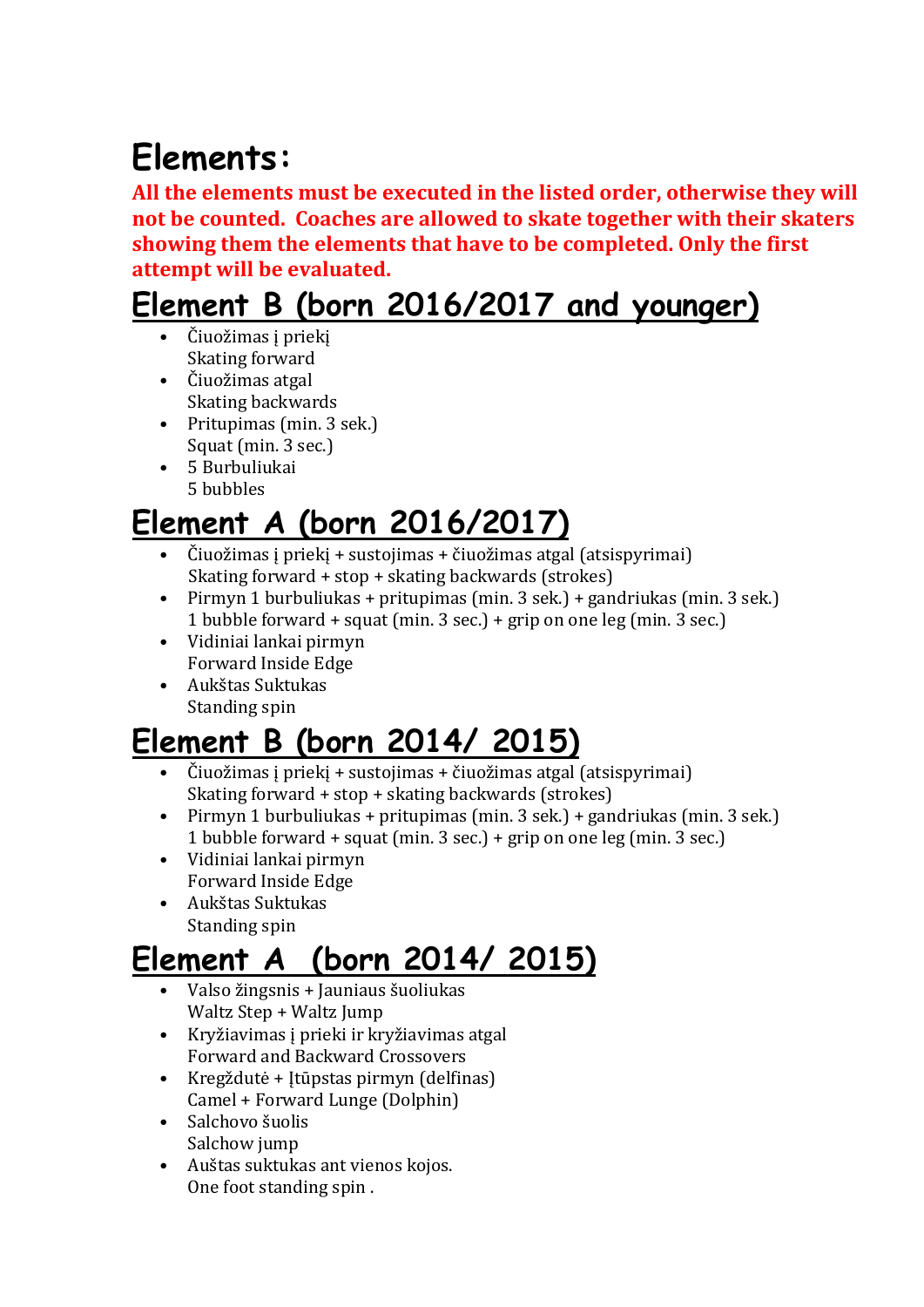# **Elements:**

**All the elements must be executed in the listed order, otherwise they will not be counted. Coaches are allowed to skate together with their skaters showing them the elements that have to be completed. Only the first attempt will be evaluated.** 

### **Element B (born 2016/2017 and younger)**

- Čiuožimas į priekį Skating forward
- Čiuožimas atgal Skating backwards
- Pritupimas (min. 3 sek.) Squat (min. 3 sec.)
- 5 Burbuliukai 5 bubbles

### **Element A (born 2016/2017)**

- Čiuožimas į priekį + sustojimas + čiuožimas atgal (atsispyrimai) Skating forward + stop + skating backwards (strokes)
- Pirmyn 1 burbuliukas + pritupimas (min. 3 sek.) + gandriukas (min. 3 sek.) 1 bubble forward + squat (min. 3 sec.) + grip on one leg (min. 3 sec.)
- Vidiniai lankai pirmyn Forward Inside Edge
- Aukštas Suktukas Standing spin

## **Element B (born 2014/ 2015)**

- Čiuožimas į priekį + sustojimas + čiuožimas atgal (atsispyrimai) Skating forward + stop + skating backwards (strokes)
- Pirmyn 1 burbuliukas + pritupimas (min. 3 sek.) + gandriukas (min. 3 sek.) 1 bubble forward + squat (min. 3 sec.) + grip on one leg (min. 3 sec.)
- Vidiniai lankai pirmyn Forward Inside Edge
- Aukštas Suktukas Standing spin

### **Element A (born 2014/ 2015)**

- Valso žingsnis + Jauniaus šuoliukas Waltz Step + Waltz Jump
- Kryžiavimas į prieki ir kryžiavimas atgal Forward and Backward Crossovers
- Kregždutė + Įtūpstas pirmyn (delfinas) Camel + Forward Lunge (Dolphin)
- Salchovo šuolis Salchow jump
- Auštas suktukas ant vienos kojos. One foot standing spin .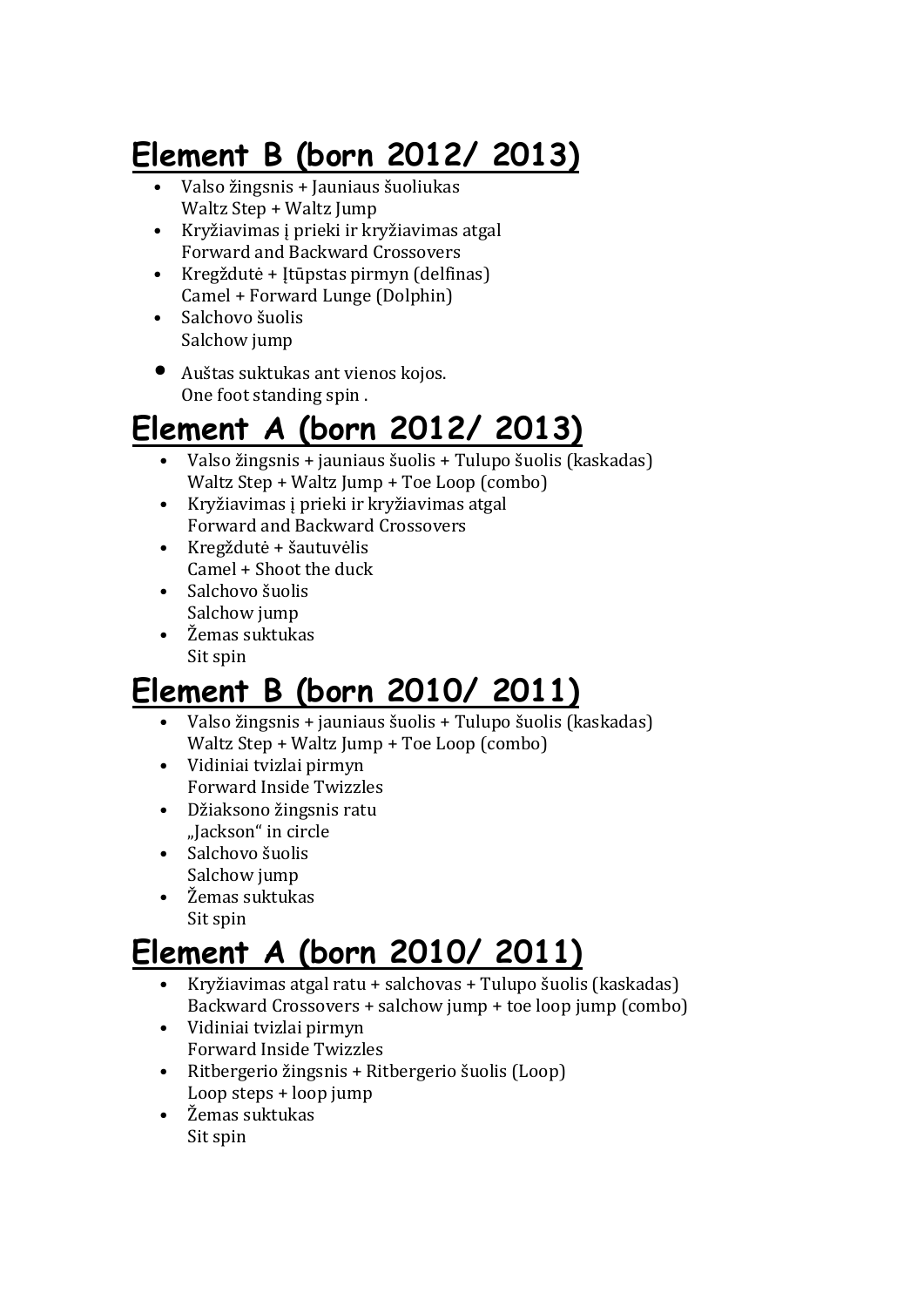## **Element B (born 2012/ 2013)**

- Valso žingsnis + Jauniaus šuoliukas Waltz Step + Waltz Jump
- Kryžiavimas į prieki ir kryžiavimas atgal Forward and Backward Crossovers
- Kregždutė + Įtūpstas pirmyn (delfinas) Camel + Forward Lunge (Dolphin)
- Salchovo šuolis Salchow jump
- Auštas suktukas ant vienos kojos. One foot standing spin .

### **Element A (born 2012/ 2013)**

- Valso žingsnis + jauniaus šuolis + Tulupo šuolis (kaskadas) Waltz Step + Waltz Jump + Toe Loop (combo)
- Kryžiavimas į prieki ir kryžiavimas atgal Forward and Backward Crossovers
- Kregždutė + šautuvėlis Camel + Shoot the duck
- Salchovo šuolis Salchow jump
- Žemas suktukas Sit spin

### **Element B (born 2010/ 2011)**

- Valso žingsnis + jauniaus šuolis + Tulupo šuolis (kaskadas) Waltz Step + Waltz Jump + Toe Loop (combo)
- Vidiniai tvizlai pirmyn Forward Inside Twizzles
- Džiaksono žingsnis ratu "Jackson" in circle
- Salchovo šuolis Salchow jump
- Žemas suktukas Sit spin

### **Element A (born 2010/ 2011)**

- Kryžiavimas atgal ratu + salchovas + Tulupo šuolis (kaskadas) Backward Crossovers + salchow jump + toe loop jump (combo)
- Vidiniai tvizlai pirmyn Forward Inside Twizzles
- Ritbergerio žingsnis + Ritbergerio šuolis (Loop) Loop steps + loop jump
- Žemas suktukas Sit spin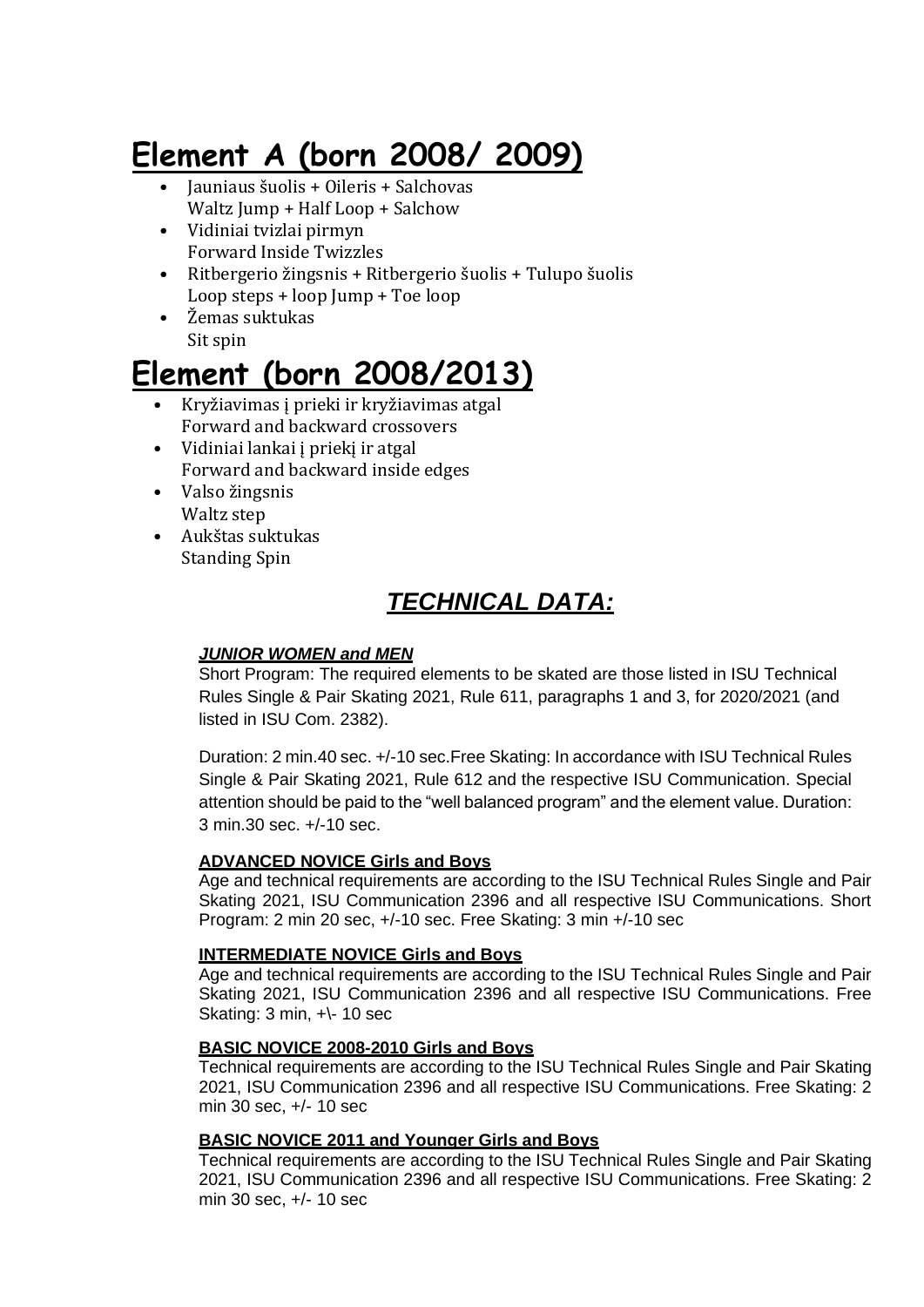### **Element A (born 2008/ 2009)**

- Jauniaus šuolis + Oileris + Salchovas Waltz Jump + Half Loop + Salchow
- Vidiniai tvizlai pirmyn Forward Inside Twizzles
- Ritbergerio žingsnis + Ritbergerio šuolis + Tulupo šuolis Loop steps + loop Jump + Toe loop
- Žemas suktukas Sit spin

### **Element (born 2008/2013)**

- Kryžiavimas į prieki ir kryžiavimas atgal Forward and backward crossovers
- Vidiniai lankai į priekį ir atgal Forward and backward inside edges
- Valso žingsnis Waltz step
- Aukštas suktukas Standing Spin

### *TECHNICAL DATA:*

#### *JUNIOR WOMEN and MEN*

Short Program: The required elements to be skated are those listed in ISU Technical Rules Single & Pair Skating 2021, Rule 611, paragraphs 1 and 3, for 2020/2021 (and listed in ISU Com. 2382).

Duration: 2 min.40 sec. +/-10 sec.Free Skating: In accordance with ISU Technical Rules Single & Pair Skating 2021, Rule 612 and the respective ISU Communication. Special attention should be paid to the "well balanced program" and the element value. Duration: 3 min.30 sec. +/-10 sec.

#### **ADVANCED NOVICE Girls and Boys**

Age and technical requirements are according to the ISU Technical Rules Single and Pair Skating 2021, ISU Communication 2396 and all respective ISU Communications. Short Program: 2 min 20 sec, +/-10 sec. Free Skating: 3 min +/-10 sec

#### **INTERMEDIATE NOVICE Girls and Boys**

Age and technical requirements are according to the ISU Technical Rules Single and Pair Skating 2021, ISU Communication 2396 and all respective ISU Communications. Free Skating: 3 min, +\- 10 sec

#### **BASIC NOVICE 2008-2010 Girls and Boys**

Technical requirements are according to the ISU Technical Rules Single and Pair Skating 2021, ISU Communication 2396 and all respective ISU Communications. Free Skating: 2 min 30 sec, +/- 10 sec

#### **BASIC NOVICE 2011 and Younger Girls and Boys**

Technical requirements are according to the ISU Technical Rules Single and Pair Skating 2021, ISU Communication 2396 and all respective ISU Communications. Free Skating: 2 min 30 sec, +/- 10 sec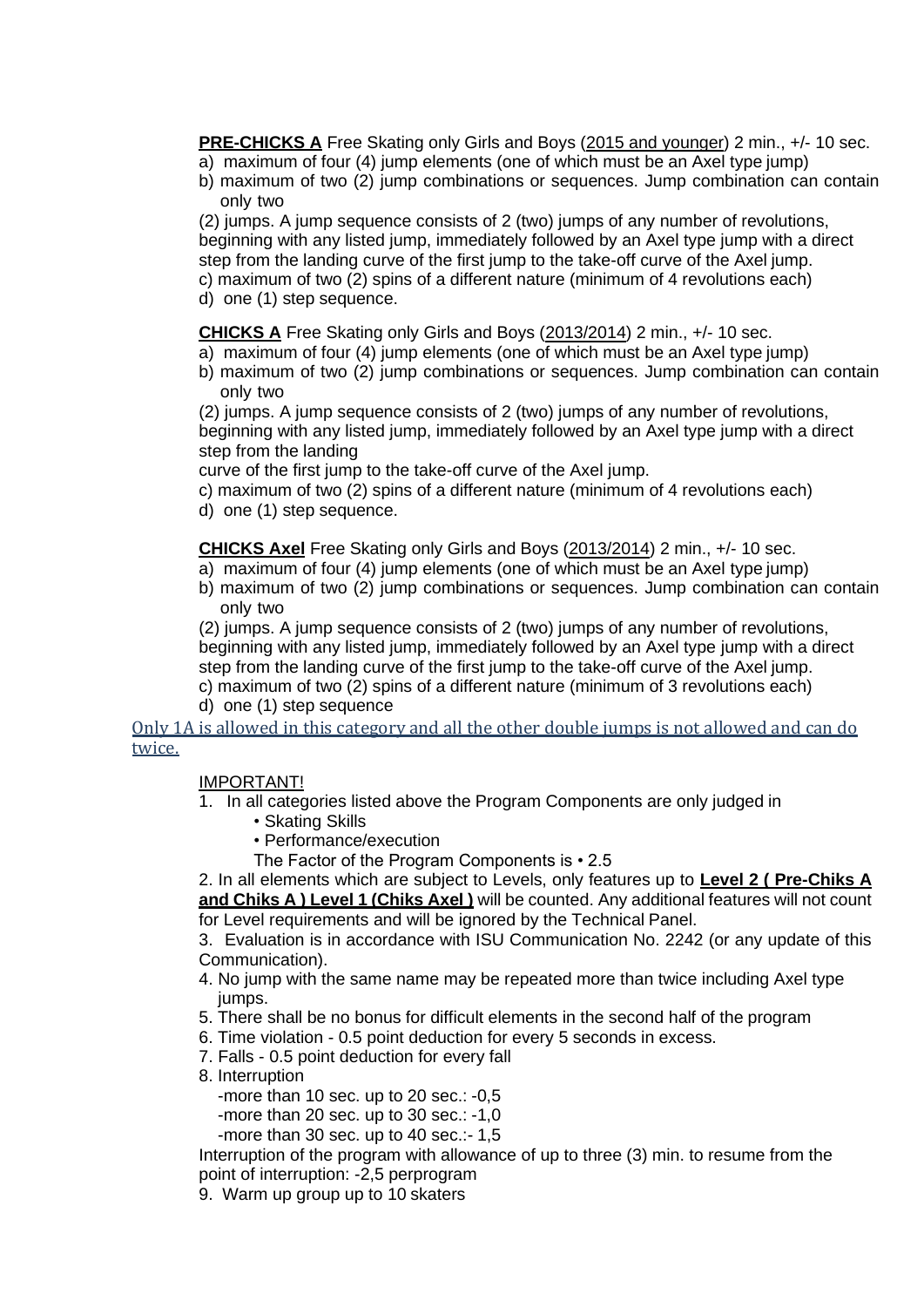**PRE-CHICKS A** Free Skating only Girls and Boys (2015 and younger) 2 min., +/- 10 sec.

- a) maximum of four (4) jump elements (one of which must be an Axel type jump)
- b) maximum of two (2) jump combinations or sequences. Jump combination can contain only two

(2) jumps. A jump sequence consists of 2 (two) jumps of any number of revolutions, beginning with any listed jump, immediately followed by an Axel type jump with a direct step from the landing curve of the first jump to the take-off curve of the Axel jump. c) maximum of two (2) spins of a different nature (minimum of 4 revolutions each)

d) one (1) step sequence.

**CHICKS A** Free Skating only Girls and Boys (2013/2014) 2 min., +/- 10 sec.

- a) maximum of four (4) jump elements (one of which must be an Axel type jump)
- b) maximum of two (2) jump combinations or sequences. Jump combination can contain only two

(2) jumps. A jump sequence consists of 2 (two) jumps of any number of revolutions, beginning with any listed jump, immediately followed by an Axel type jump with a direct step from the landing

curve of the first jump to the take-off curve of the Axel jump.

- c) maximum of two (2) spins of a different nature (minimum of 4 revolutions each)
- d) one (1) step sequence.

#### **CHICKS Axel** Free Skating only Girls and Boys (2013/2014) 2 min., +/- 10 sec.

- a) maximum of four (4) jump elements (one of which must be an Axel type jump)
- b) maximum of two (2) jump combinations or sequences. Jump combination can contain only two

(2) jumps. A jump sequence consists of 2 (two) jumps of any number of revolutions, beginning with any listed jump, immediately followed by an Axel type jump with a direct step from the landing curve of the first jump to the take-off curve of the Axel jump. c) maximum of two (2) spins of a different nature (minimum of 3 revolutions each)

d) one (1) step sequence

Only 1A is allowed in this category and all the other double jumps is not allowed and can do twice.

#### IMPORTANT!

- 1. In all categories listed above the Program Components are only judged in
	- Skating Skills
	- Performance/execution
	- The Factor of the Program Components is 2.5

2. In all elements which are subject to Levels, only features up to **Level 2 ( Pre-Chiks A and Chiks A ) Level 1 (Chiks Axel)** will be counted. Any additional features will not count for Level requirements and will be ignored by the Technical Panel.

3. Evaluation is in accordance with ISU Communication No. 2242 (or any update of this Communication).

- 4. No jump with the same name may be repeated more than twice including Axel type jumps.
- 5. There shall be no bonus for difficult elements in the second half of the program
- 6. Time violation 0.5 point deduction for every 5 seconds in excess.
- 7. Falls 0.5 point deduction for every fall
- 8. Interruption
	- -more than 10 sec. up to 20 sec.: -0,5
	- -more than 20 sec. up to 30 sec.: -1,0
	- -more than 30 sec. up to 40 sec.:- 1,5

Interruption of the program with allowance of up to three (3) min. to resume from the point of interruption: -2,5 perprogram

9. Warm up group up to 10 skaters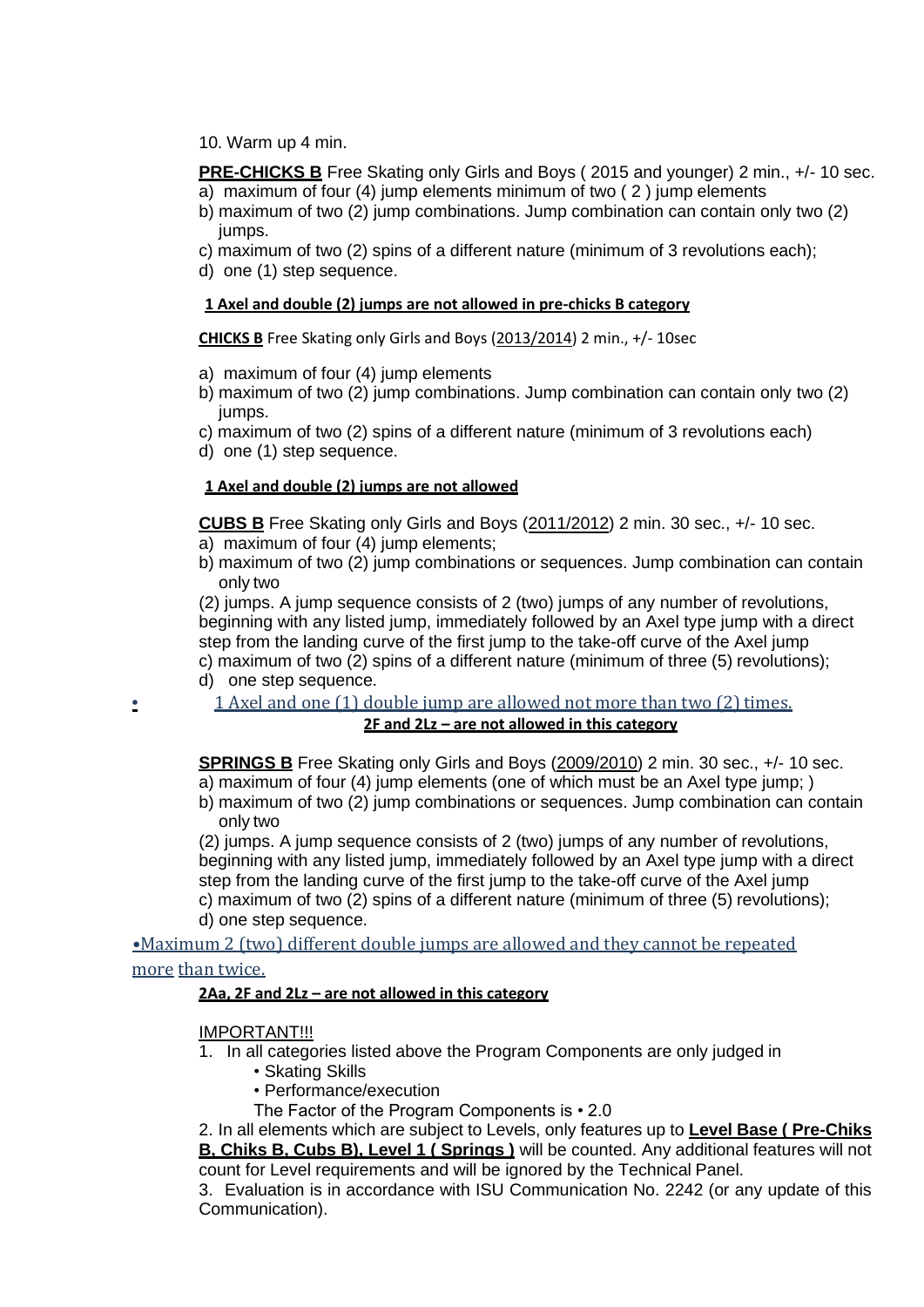10. Warm up 4 min.

**PRE-CHICKS B** Free Skating only Girls and Boys (2015 and younger) 2 min., +/- 10 sec.

- a) maximum of four (4) jump elements minimum of two ( 2 ) jump elements
- b) maximum of two (2) jump combinations. Jump combination can contain only two (2) jumps.
- c) maximum of two (2) spins of a different nature (minimum of 3 revolutions each);
- d) one (1) step sequence.

#### **1 Axel and double (2) jumps are not allowed in pre-chicks B category**

**CHICKS B** Free Skating only Girls and Boys (2013/2014) 2 min., +/- 10sec

- a) maximum of four (4) jump elements
- b) maximum of two (2) jump combinations. Jump combination can contain only two (2) jumps.
- c) maximum of two (2) spins of a different nature (minimum of 3 revolutions each)
- d) one (1) step sequence.

#### **1 Axel and double (2) jumps are not allowed**

**CUBS B** Free Skating only Girls and Boys (2011/2012) 2 min. 30 sec., +/- 10 sec. a) maximum of four (4) jump elements;

b) maximum of two (2) jump combinations or sequences. Jump combination can contain only two

(2) jumps. A jump sequence consists of 2 (two) jumps of any number of revolutions, beginning with any listed jump, immediately followed by an Axel type jump with a direct step from the landing curve of the first jump to the take-off curve of the Axel jump c) maximum of two (2) spins of a different nature (minimum of three (5) revolutions);

- d) one step sequence.
	- **1 Axel and one (1) double jump are allowed not more than two (2) times.**

#### **2F and 2Lz – are not allowed in this category**

**SPRINGS B** Free Skating only Girls and Boys (2009/2010) 2 min. 30 sec., +/- 10 sec.  $\overline{a}$ ) maximum of four (4) jump elements (one of which must be an Axel type jump; )

b) maximum of two (2) jump combinations or sequences. Jump combination can contain only two

(2) jumps. A jump sequence consists of 2 (two) jumps of any number of revolutions, beginning with any listed jump, immediately followed by an Axel type jump with a direct step from the landing curve of the first jump to the take-off curve of the Axel jump c) maximum of two (2) spins of a different nature (minimum of three (5) revolutions); d) one step sequence.

•Maximum 2 (two) different double jumps are allowed and they cannot be repeated

#### more than twice.

#### **2Aa, 2F and 2Lz – are not allowed in this category**

#### IMPORTANT!!!

- 1. In all categories listed above the Program Components are only judged in
	- Skating Skills
	- Performance/execution
	- The Factor of the Program Components is 2.0

2. In all elements which are subject to Levels, only features up to **Level Base ( Pre-Chiks B, Chiks B, Cubs B), Level 1 ( Springs )** will be counted. Any additional features will not count for Level requirements and will be ignored by the Technical Panel.

3. Evaluation is in accordance with ISU Communication No. 2242 (or any update of this Communication).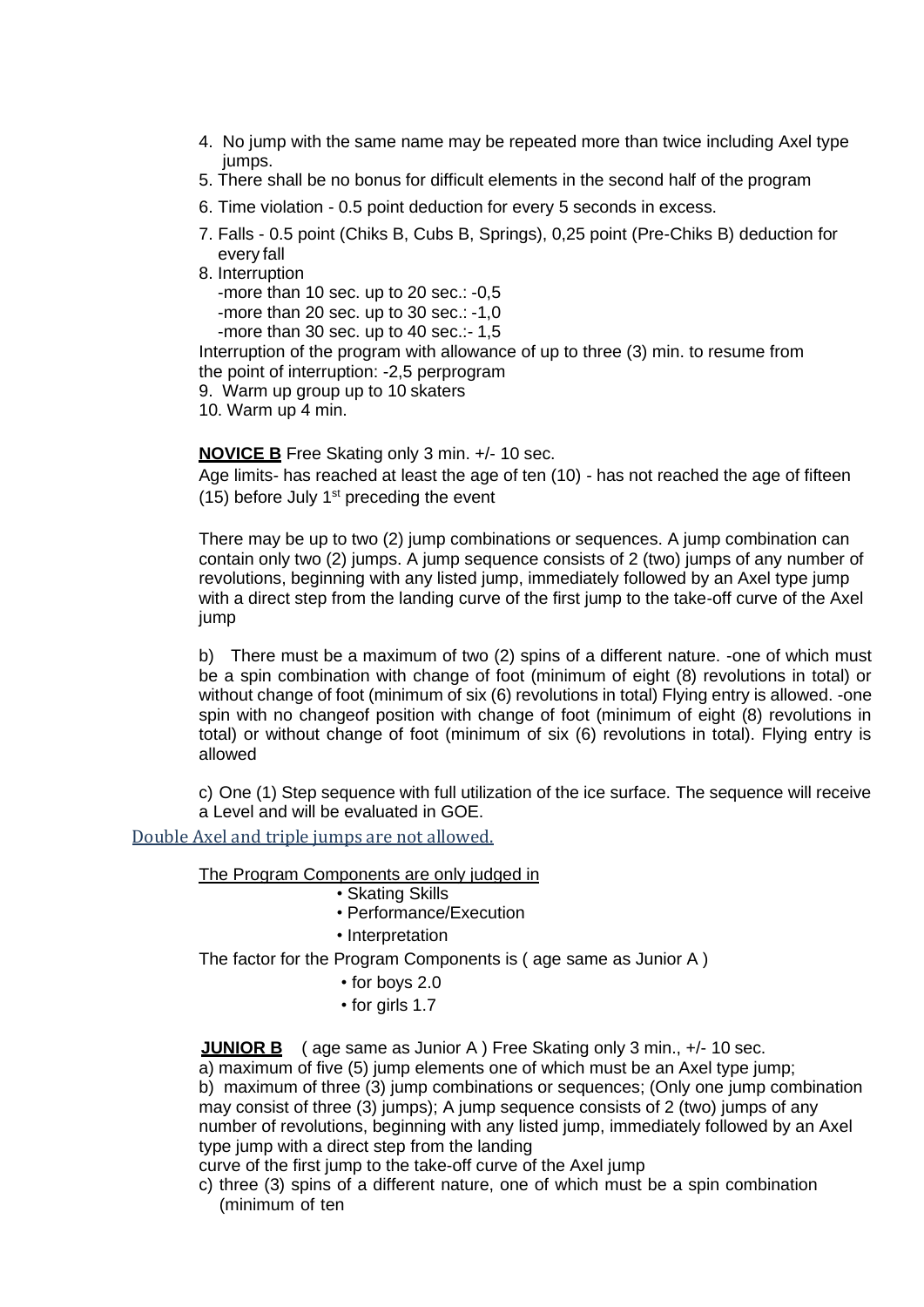- 4. No jump with the same name may be repeated more than twice including Axel type jumps.
- 5. There shall be no bonus for difficult elements in the second half of the program
- 6. Time violation 0.5 point deduction for every 5 seconds in excess.
- 7. Falls 0.5 point (Chiks B, Cubs B, Springs), 0,25 point (Pre-Chiks B) deduction for every fall
- 8. Interruption

-more than 10 sec. up to 20 sec.: -0,5

-more than 20 sec. up to 30 sec.: -1,0

-more than 30 sec. up to 40 sec.:- 1,5

Interruption of the program with allowance of up to three (3) min. to resume from the point of interruption: -2,5 perprogram

9. Warm up group up to 10 skaters

10. Warm up 4 min.

#### **NOVICE B** Free Skating only 3 min. +/- 10 sec.

Age limits*-* has reached at least the age of ten (10) *-* has not reached the age of fifteen (15) before July  $1<sup>st</sup>$  preceding the event

There may be up to two (2) jump combinations or sequences. A jump combination can contain only two (2) jumps. A jump sequence consists of 2 (two) jumps of any number of revolutions, beginning with any listed jump, immediately followed by an Axel type jump with a direct step from the landing curve of the first jump to the take-off curve of the Axel jump

b) There must be a maximum of two (2) spins of a different nature. -one of which must be a spin combination with change of foot (minimum of eight (8) revolutions in total) or without change of foot (minimum of six (6) revolutions in total) Flying entry is allowed. -one spin with no changeof position with change of foot (minimum of eight (8) revolutions in total) or without change of foot (minimum of six (6) revolutions in total). Flying entry is allowed

c) One (1) Step sequence with full utilization of the ice surface. The sequence will receive a Level and will be evaluated in GOE.

#### Double Axel and triple jumps are not allowed.

The Program Components are only judged in

- Skating Skills
- Performance/Execution
- Interpretation

The factor for the Program Components is ( age same as Junior A )

- *•* for boys 2.0
- *•* for girls 1.7

**JUNIOR B** ( age same as Junior A ) Free Skating only 3 min., +/- 10 sec.

a) maximum of five (5) jump elements one of which must be an Axel type jump; b) maximum of three (3) jump combinations or sequences; (Only one jump combination may consist of three (3) jumps); A jump sequence consists of 2 (two) jumps of any number of revolutions, beginning with any listed jump, immediately followed by an Axel type jump with a direct step from the landing

curve of the first jump to the take-off curve of the Axel jump

c) three (3) spins of a different nature, one of which must be a spin combination (minimum of ten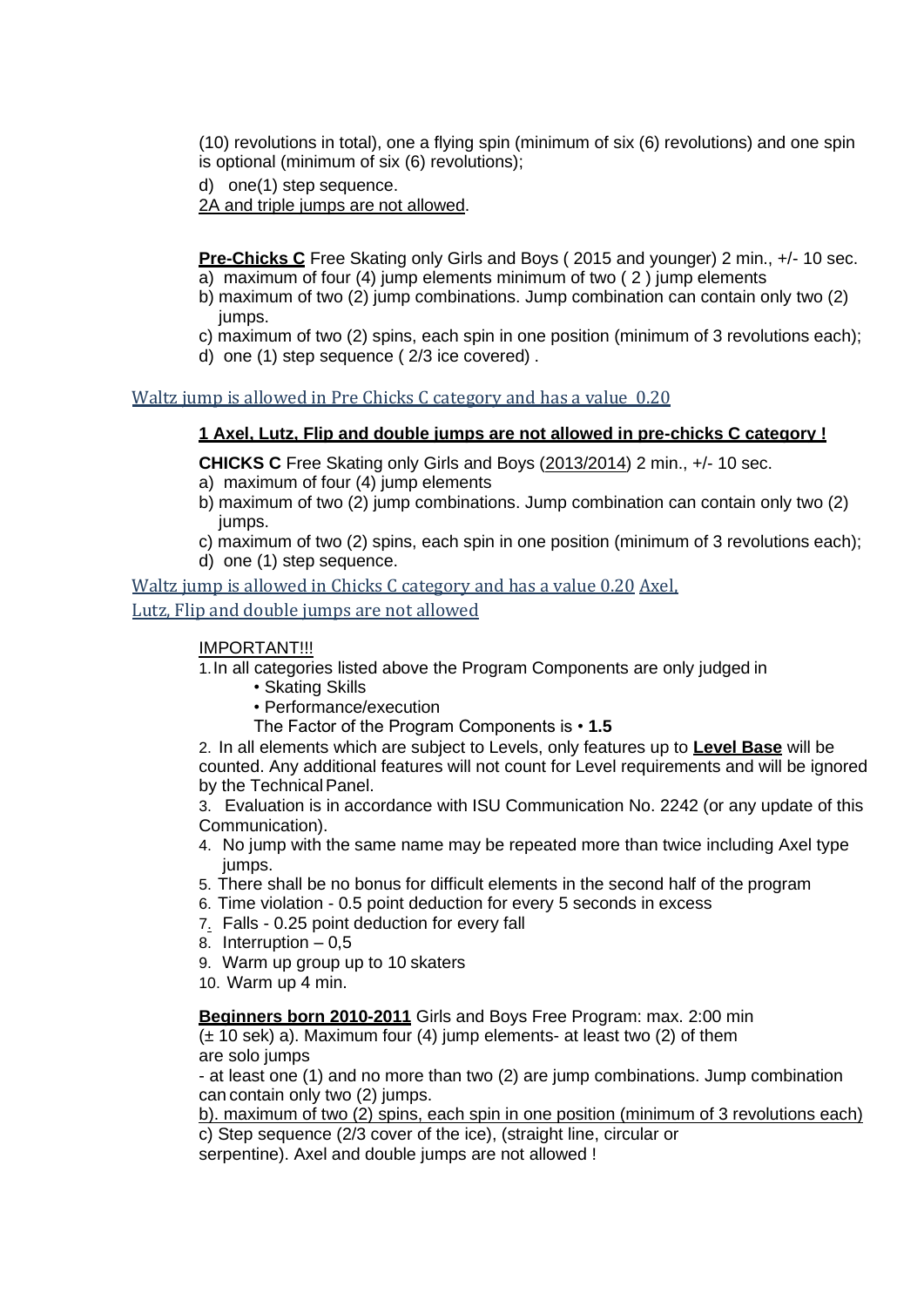(10) revolutions in total), one a flying spin (minimum of six (6) revolutions) and one spin is optional (minimum of six (6) revolutions);

d) one(1) step sequence.

2A and triple jumps are not allowed.

**Pre-Chicks C** Free Skating only Girls and Boys (2015 and younger) 2 min., +/- 10 sec. a) maximum of four (4) jump elements minimum of two ( 2 ) jump elements

- b) maximum of two (2) jump combinations. Jump combination can contain only two (2) jumps.
- c) maximum of two (2) spins, each spin in one position (minimum of 3 revolutions each);
- d) one (1) step sequence ( 2/3 ice covered) .

#### Waltz jump is allowed in Pre Chicks C category and has a value 0.20

#### **1 Axel, Lutz, Flip and double jumps are not allowed in pre-chicks C category !**

**CHICKS C** Free Skating only Girls and Boys (2013/2014) 2 min., +/- 10 sec. a) maximum of four (4) jump elements

- b) maximum of two (2) jump combinations. Jump combination can contain only two (2) jumps.
- c) maximum of two (2) spins, each spin in one position (minimum of 3 revolutions each);
- d) one (1) step sequence.

Waltz jump is allowed in Chicks C category and has a value 0.20 Axel,

Lutz, Flip and double jumps are not allowed

#### IMPORTANT!!!

1.In all categories listed above the Program Components are only judged in

- Skating Skills
- Performance/execution
- The Factor of the Program Components is **1.5**

2. In all elements which are subject to Levels, only features up to **Level Base** will be counted. Any additional features will not count for Level requirements and will be ignored by the Technical Panel.

3. Evaluation is in accordance with ISU Communication No. 2242 (or any update of this Communication).

- 4. No jump with the same name may be repeated more than twice including Axel type jumps.
- 5. There shall be no bonus for difficult elements in the second half of the program
- 6. Time violation 0.5 point deduction for every 5 seconds in excess
- 7. Falls 0.25 point deduction for every fall
- 8. Interruption 0,5
- 9. Warm up group up to 10 skaters
- 10. Warm up 4 min.

#### **Beginners born 2010-2011** Girls and Boys Free Program: max. 2:00 min

 $(\pm 10 \text{ sek})$  a). Maximum four (4) jump elements- at least two (2) of them are solo jumps

- at least one (1) and no more than two (2) are jump combinations. Jump combination can contain only two (2) jumps.

b). maximum of two (2) spins, each spin in one position (minimum of 3 revolutions each) c) Step sequence (2/3 cover of the ice), (straight line, circular or

serpentine). Axel and double jumps are not allowed !